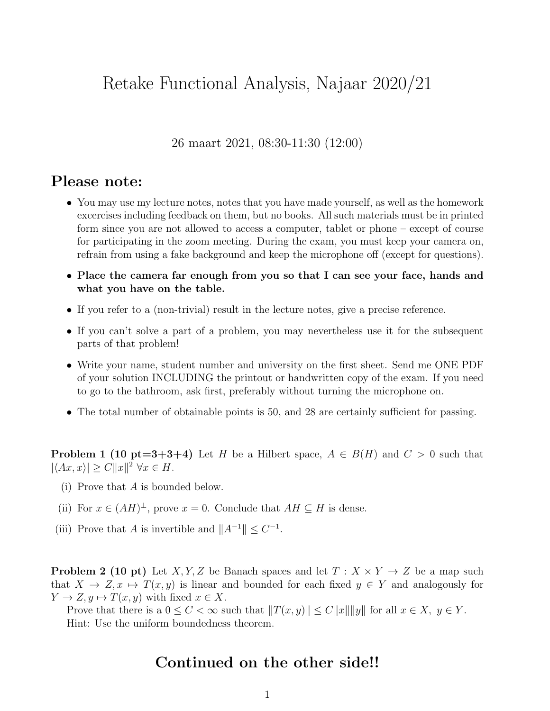## Retake Functional Analysis, Najaar 2020/21

26 maart 2021, 08:30-11:30 (12:00)

## Please note:

- You may use my lecture notes, notes that you have made yourself, as well as the homework excercises including feedback on them, but no books. All such materials must be in printed form since you are not allowed to access a computer, tablet or phone – except of course for participating in the zoom meeting. During the exam, you must keep your camera on, refrain from using a fake background and keep the microphone off (except for questions).
- Place the camera far enough from you so that I can see your face, hands and what you have on the table.
- If you refer to a (non-trivial) result in the lecture notes, give a precise reference.
- If you can't solve a part of a problem, you may nevertheless use it for the subsequent parts of that problem!
- Write your name, student number and university on the first sheet. Send me ONE PDF of your solution INCLUDING the printout or handwritten copy of the exam. If you need to go to the bathroom, ask first, preferably without turning the microphone on.
- The total number of obtainable points is 50, and 28 are certainly sufficient for passing.

**Problem 1 (10 pt=3+3+4)** Let H be a Hilbert space,  $A \in B(H)$  and  $C > 0$  such that  $|\langle Ax, x \rangle| \ge C ||x||^2 \,\forall x \in H.$ 

- (i) Prove that A is bounded below.
- (ii) For  $x \in (AH)^{\perp}$ , prove  $x = 0$ . Conclude that  $AH \subseteq H$  is dense.
- (iii) Prove that A is invertible and  $||A^{-1}|| \leq C^{-1}$ .

**Problem 2 (10 pt)** Let X, Y, Z be Banach spaces and let  $T : X \times Y \to Z$  be a map such that  $X \to Z$ ,  $x \mapsto T(x, y)$  is linear and bounded for each fixed  $y \in Y$  and analogously for  $Y \to Z, y \mapsto T(x, y)$  with fixed  $x \in X$ .

Prove that there is a  $0 \leq C < \infty$  such that  $||T(x, y)|| \leq C||x|| ||y||$  for all  $x \in X$ ,  $y \in Y$ . Hint: Use the uniform boundedness theorem.

## Continued on the other side!!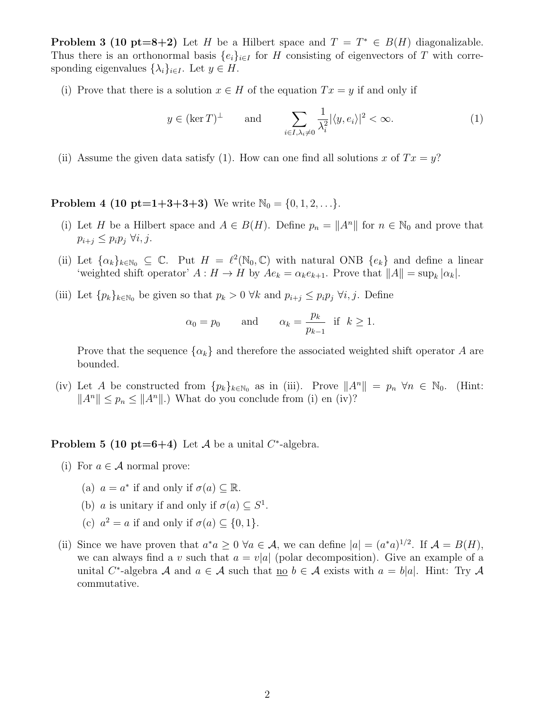**Problem 3 (10 pt=8+2)** Let H be a Hilbert space and  $T = T^* \in B(H)$  diagonalizable. Thus there is an orthonormal basis  $\{e_i\}_{i\in I}$  for H consisting of eigenvectors of T with corresponding eigenvalues  $\{\lambda_i\}_{i\in I}$ . Let  $y \in H$ .

(i) Prove that there is a solution  $x \in H$  of the equation  $Tx = y$  if and only if

$$
y \in (\ker T)^{\perp}
$$
 and 
$$
\sum_{i \in I, \lambda_i \neq 0} \frac{1}{\lambda_i^2} |\langle y, e_i \rangle|^2 < \infty.
$$
 (1)

(ii) Assume the given data satisfy (1). How can one find all solutions x of  $Tx = y$ ?

**Problem 4 (10 pt=1+3+3+3)** We write  $\mathbb{N}_0 = \{0, 1, 2, \ldots\}$ .

- (i) Let H be a Hilbert space and  $A \in B(H)$ . Define  $p_n = ||A^n||$  for  $n \in \mathbb{N}_0$  and prove that  $p_{i+j} \leq p_i p_i \; \forall i, j.$
- (ii) Let  $\{\alpha_k\}_{k\in\mathbb{N}_0} \subseteq \mathbb{C}$ . Put  $H = \ell^2(\mathbb{N}_0, \mathbb{C})$  with natural ONB  $\{e_k\}$  and define a linear 'weighted shift operator'  $A: H \to H$  by  $Ae_k = \alpha_k e_{k+1}$ . Prove that  $||A|| = \sup_k |\alpha_k|$ .
- (iii) Let  $\{p_k\}_{k\in\mathbb{N}_0}$  be given so that  $p_k > 0$   $\forall k$  and  $p_{i+j} \leq p_i p_j$   $\forall i, j$ . Define

$$
\alpha_0 = p_0
$$
 and  $\alpha_k = \frac{p_k}{p_{k-1}}$  if  $k \ge 1$ .

Prove that the sequence  $\{\alpha_k\}$  and therefore the associated weighted shift operator A are bounded.

(iv) Let A be constructed from  $\{p_k\}_{k\in\mathbb{N}_0}$  as in (iii). Prove  $||A^n|| = p_n \,\forall n \in \mathbb{N}_0$ . (Hint:  $||A^n|| \leq p_n \leq ||A^n||$ .) What do you conclude from (i) en (iv)?

**Problem 5 (10 pt=6+4)** Let A be a unital  $C^*$ -algebra.

- (i) For  $a \in \mathcal{A}$  normal prove:
	- (a)  $a = a^*$  if and only if  $\sigma(a) \subseteq \mathbb{R}$ .
	- (b) *a* is unitary if and only if  $\sigma(a) \subseteq S^1$ .
	- (c)  $a^2 = a$  if and only if  $\sigma(a) \subseteq \{0, 1\}.$
- (ii) Since we have proven that  $a^*a \geq 0$   $\forall a \in \mathcal{A}$ , we can define  $|a| = (a^*a)^{1/2}$ . If  $\mathcal{A} = B(H)$ , we can always find a v such that  $a = v|a|$  (polar decomposition). Give an example of a unital C<sup>\*</sup>-algebra A and  $a \in A$  such that <u>no</u>  $b \in A$  exists with  $a = b|a|$ . Hint: Try A commutative.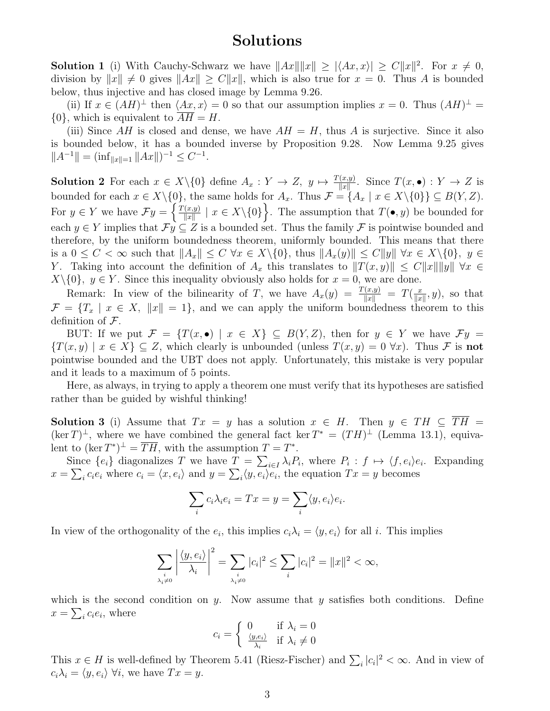## Solutions

**Solution 1** (i) With Cauchy-Schwarz we have  $||Ax|| ||x|| \geq |\langle Ax, x \rangle| \geq C ||x||^2$ . For  $x \neq 0$ , division by  $||x|| \neq 0$  gives  $||Ax|| \geq C||x||$ , which is also true for  $x = 0$ . Thus A is bounded below, thus injective and has closed image by Lemma 9.26.

(ii) If  $x \in (AH)^{\perp}$  then  $\langle Ax, x \rangle = 0$  so that our assumption implies  $x = 0$ . Thus  $(AH)^{\perp} =$  $\{0\}$ , which is equivalent to  $\overline{AH} = H$ .

(iii) Since  $AH$  is closed and dense, we have  $AH = H$ , thus A is surjective. Since it also is bounded below, it has a bounded inverse by Proposition 9.28. Now Lemma 9.25 gives  $||A^{-1}|| = (\inf_{||x||=1} ||Ax||)^{-1} \leq C^{-1}.$ 

**Solution 2** For each  $x \in X \setminus \{0\}$  define  $A_x : Y \to Z$ ,  $y \mapsto \frac{T(x,y)}{\|x\|}$ . Since  $T(x, \bullet) : Y \to Z$  is bounded for each  $x \in X \setminus \{0\}$ , the same holds for  $A_x$ . Thus  $\mathcal{F} = \{A_x \mid x \in X \setminus \{0\}\} \subseteq B(Y, Z)$ . For  $y \in Y$  we have  $\mathcal{F}y = \begin{cases} \frac{T(x,y)}{\|x\|} & \text{if } y \leq Y \end{cases}$  $\{ (x,y) \mid x \in X \setminus \{0\} \}.$  The assumption that  $T(\bullet, y)$  be bounded for each  $y \in Y$  implies that  $\mathcal{F}y \subseteq Z$  is a bounded set. Thus the family  $\mathcal F$  is pointwise bounded and therefore, by the uniform boundedness theorem, uniformly bounded. This means that there is a  $0 \leq C < \infty$  such that  $||A_x|| \leq C \,\forall x \in X\setminus\{0\}$ , thus  $||A_x(y)|| \leq C||y|| \,\forall x \in X\setminus\{0\}$ ,  $y \in$ Y. Taking into account the definition of  $A_x$  this translates to  $||T(x, y)|| \leq C||x|| ||y|| \forall x \in$  $X\setminus\{0\}$ ,  $y \in Y$ . Since this inequality obviously also holds for  $x = 0$ , we are done.

Remark: In view of the bilinearity of T, we have  $A_x(y) = \frac{T(x,y)}{\|x\|} = T(\frac{x}{\|x\|})$  $\frac{x}{\|x\|}, y$ , so that  $\mathcal{F} = \{T_x \mid x \in X, \|x\| = 1\}$ , and we can apply the uniform boundedness theorem to this definition of  $\mathcal{F}$ .

BUT: If we put  $\mathcal{F} = \{T(x, \bullet) \mid x \in X\} \subseteq B(Y, Z)$ , then for  $y \in Y$  we have  $\mathcal{F}y =$  ${T(x,y) \mid x \in X} \subseteq Z$ , which clearly is unbounded (unless  $T(x,y) = 0 \,\forall x$ ). Thus F is not pointwise bounded and the UBT does not apply. Unfortunately, this mistake is very popular and it leads to a maximum of 5 points.

Here, as always, in trying to apply a theorem one must verify that its hypotheses are satisfied rather than be guided by wishful thinking!

Solution 3 (i) Assume that  $Tx = y$  has a solution  $x \in H$ . Then  $y \in TH \subseteq \overline{TH}$  $(\ker T)^{\perp}$ , where we have combined the general fact ker  $T^* = (TH)^{\perp}$  (Lemma 13.1), equivalent to  $(\ker T^*)^{\perp} = \overline{TH}$ , with the assumption  $T = T^*$ .

Since  $\{e_i\}$  diagonalizes T we have  $T = \sum_{i\in I} \lambda_i P_i$ , where  $P_i : f \mapsto \langle f, e_i \rangle e_i$ . Expanding  $x = \sum_i c_i e_i$  where  $c_i = \langle x, e_i \rangle$  and  $y = \sum_i \langle y, e_i \rangle e_i$ , the equation  $Tx = y$  becomes

$$
\sum_i c_i \lambda_i e_i = Tx = y = \sum_i \langle y, e_i \rangle e_i.
$$

In view of the orthogonality of the  $e_i$ , this implies  $c_i \lambda_i = \langle y, e_i \rangle$  for all i. This implies

$$
\sum_{\substack{i \\ \lambda_i \neq 0}} \left| \frac{\langle y, e_i \rangle}{\lambda_i} \right|^2 = \sum_{\substack{i \\ \lambda_i \neq 0}} |c_i|^2 \le \sum_i |c_i|^2 = \|x\|^2 < \infty,
$$

which is the second condition on y. Now assume that y satisfies both conditions. Define  $x = \sum_i c_i e_i$ , where

$$
c_i = \begin{cases} 0 & \text{if } \lambda_i = 0\\ \frac{\langle y, e_i \rangle}{\lambda_i} & \text{if } \lambda_i \neq 0 \end{cases}
$$

This  $x \in H$  is well-defined by Theorem 5.41 (Riesz-Fischer) and  $\sum_i |c_i|^2 < \infty$ . And in view of  $c_i \lambda_i = \langle y, e_i \rangle \ \forall i$ , we have  $Tx = y$ .